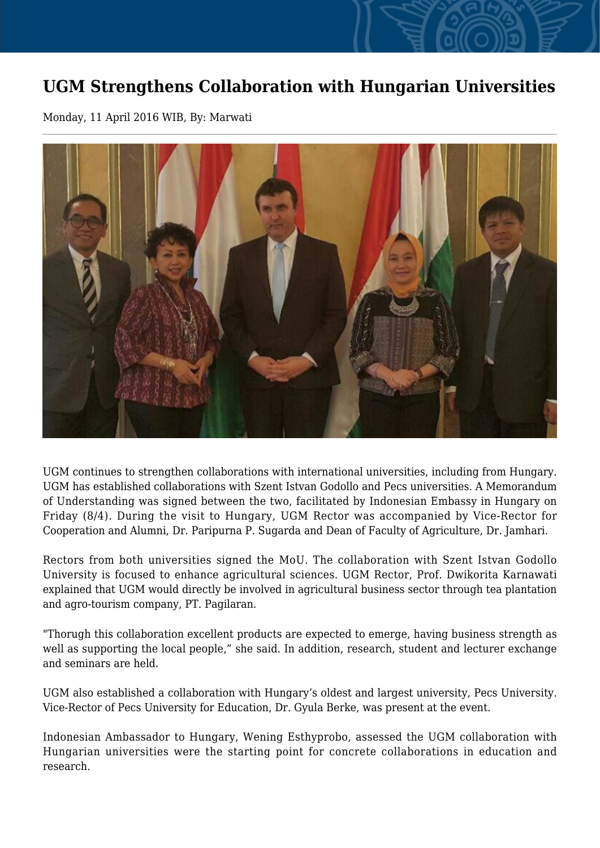## **UGM Strengthens Collaboration with Hungarian Universities**

Monday, 11 April 2016 WIB, By: Marwati



UGM continues to strengthen collaborations with international universities, including from Hungary. UGM has established collaborations with Szent Istvan Godollo and Pecs universities. A Memorandum of Understanding was signed between the two, facilitated by Indonesian Embassy in Hungary on Friday (8/4). During the visit to Hungary, UGM Rector was accompanied by Vice-Rector for Cooperation and Alumni, Dr. Paripurna P. Sugarda and Dean of Faculty of Agriculture, Dr. Jamhari.

Rectors from both universities signed the MoU. The collaboration with Szent Istvan Godollo University is focused to enhance agricultural sciences. UGM Rector, Prof. Dwikorita Karnawati explained that UGM would directly be involved in agricultural business sector through tea plantation and agro-tourism company, PT. Pagilaran.

"Thorugh this collaboration excellent products are expected to emerge, having business strength as well as supporting the local people," she said. In addition, research, student and lecturer exchange and seminars are held.

UGM also established a collaboration with Hungary's oldest and largest university, Pecs University. Vice-Rector of Pecs University for Education, Dr. Gyula Berke, was present at the event.

Indonesian Ambassador to Hungary, Wening Esthyprobo, assessed the UGM collaboration with Hungarian universities were the starting point for concrete collaborations in education and research.